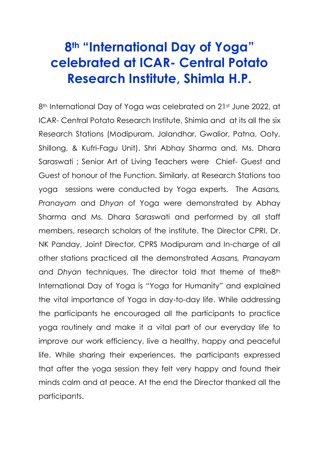## **8th "International Day of Yoga" celebrated at ICAR- Central Potato Research Institute, Shimla H.P.**

8<sup>th</sup> International Day of Yoga was celebrated on 21st June 2022, at ICAR- Central Potato Research Institute, Shimla and at its all the six Research Stations (Modipuram, Jalandhar, Gwalior, Patna, Ooty, Shillong, & Kufri-Fagu Unit). Shri Abhay Sharma and, Ms. Dhara Saraswati ; Senior Art of Living Teachers were Chief- Guest and Guest of honour of the Function. Similarly, at Research Stations too yoga sessions were conducted by Yoga experts. The *Aasans, Pranayam* and *Dhyan* of Yoga were demonstrated by Abhay Sharma and Ms. Dhara Saraswati and performed by all staff members, research scholars of the institute. The Director CPRI, Dr. NK Panday, Joint Director, CPRS Modipuram and In-charge of all other stations practiced all the demonstrated *Aasans, Pranayam*  and *Dhyan* techniques. The director told that theme of the8th International Day of Yoga is "Yoga for Humanity" and explained the vital importance of Yoga in day-to-day life. While addressing the participants he encouraged all the participants to practice yoga routinely and make it a vital part of our everyday life to improve our work efficiency, live a healthy, happy and peaceful life. While sharing their experiences, the participants expressed that after the yoga session they felt very happy and found their minds calm and at peace. At the end the Director thanked all the participants.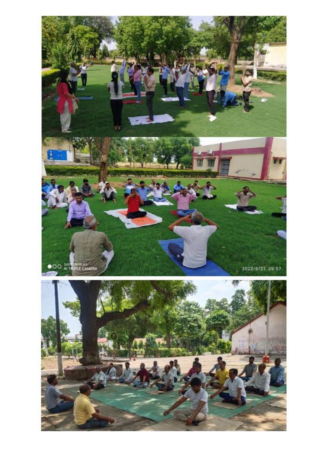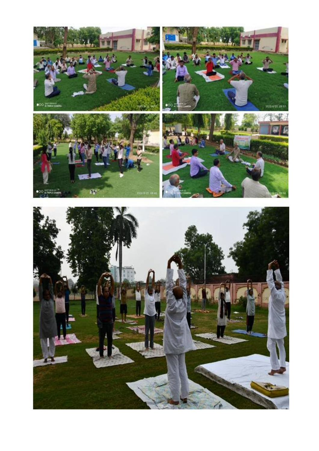